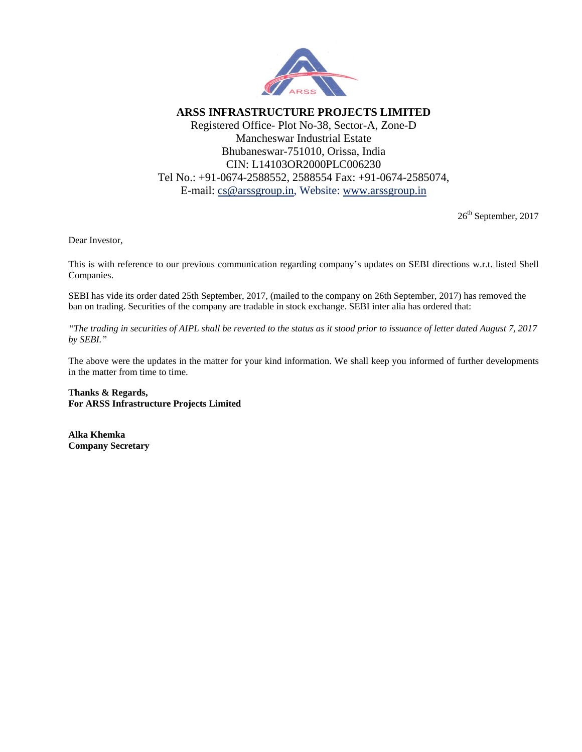

**ARSS INFRASTRUCTURE PROJECTS LIMITED**  Registered Office- Plot No-38, Sector-A, Zone-D Mancheswar Industrial Estate Bhubaneswar-751010, Orissa, India CIN: L14103OR2000PLC006230 Tel No.: +91-0674-2588552, 2588554 Fax: +91-0674-2585074, E-mail: cs@arssgroup.in, Website: www.arssgroup.in

26<sup>th</sup> September, 2017

Dear Investor,

This is with reference to our previous communication regarding company's updates on SEBI directions w.r.t. listed Shell Companies.

SEBI has vide its order dated 25th September, 2017, (mailed to the company on 26th September, 2017) has removed the ban on trading. Securities of the company are tradable in stock exchange. SEBI inter alia has ordered that:

*"The trading in securities of AIPL shall be reverted to the status as it stood prior to issuance of letter dated August 7, 2017 by SEBI."* 

The above were the updates in the matter for your kind information. We shall keep you informed of further developments in the matter from time to time.

**Thanks & Regards, For ARSS Infrastructure Projects Limited** 

**Alka Khemka Company Secretary**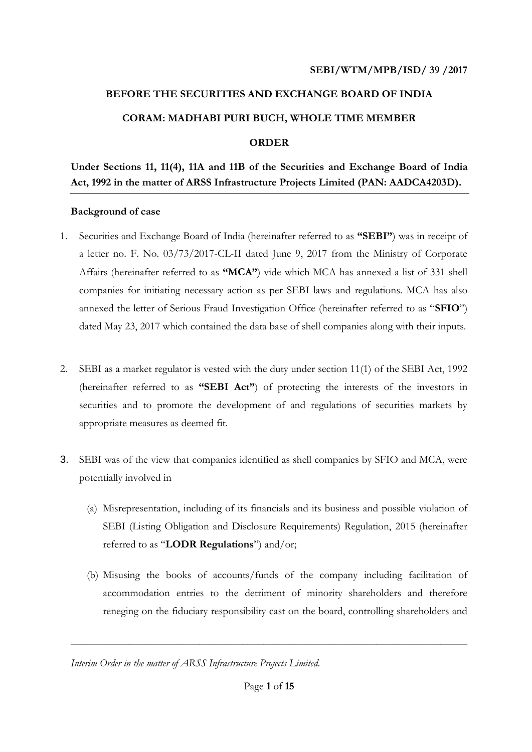# **BEFORE THE SECURITIES AND EXCHANGE BOARD OF INDIA CORAM: MADHABI PURI BUCH, WHOLE TIME MEMBER ORDER**

# **Under Sections 11, 11(4), 11A and 11B of the Securities and Exchange Board of India Act, 1992 in the matter of ARSS Infrastructure Projects Limited (PAN: AADCA4203D).**

#### **Background of case**

- 1. Securities and Exchange Board of India (hereinafter referred to as **"SEBI"**) was in receipt of a letter no. F. No. 03/73/2017-CL-II dated June 9, 2017 from the Ministry of Corporate Affairs (hereinafter referred to as **"MCA"**) vide which MCA has annexed a list of 331 shell companies for initiating necessary action as per SEBI laws and regulations. MCA has also annexed the letter of Serious Fraud Investigation Office (hereinafter referred to as "**SFIO**") dated May 23, 2017 which contained the data base of shell companies along with their inputs.
- 2. SEBI as a market regulator is vested with the duty under section 11(1) of the SEBI Act, 1992 (hereinafter referred to as **"SEBI Act"**) of protecting the interests of the investors in securities and to promote the development of and regulations of securities markets by appropriate measures as deemed fit.
- 3. SEBI was of the view that companies identified as shell companies by SFIO and MCA, were potentially involved in
	- (a) Misrepresentation, including of its financials and its business and possible violation of SEBI (Listing Obligation and Disclosure Requirements) Regulation, 2015 (hereinafter referred to as "**LODR Regulations**") and/or;
	- (b) Misusing the books of accounts/funds of the company including facilitation of accommodation entries to the detriment of minority shareholders and therefore reneging on the fiduciary responsibility cast on the board, controlling shareholders and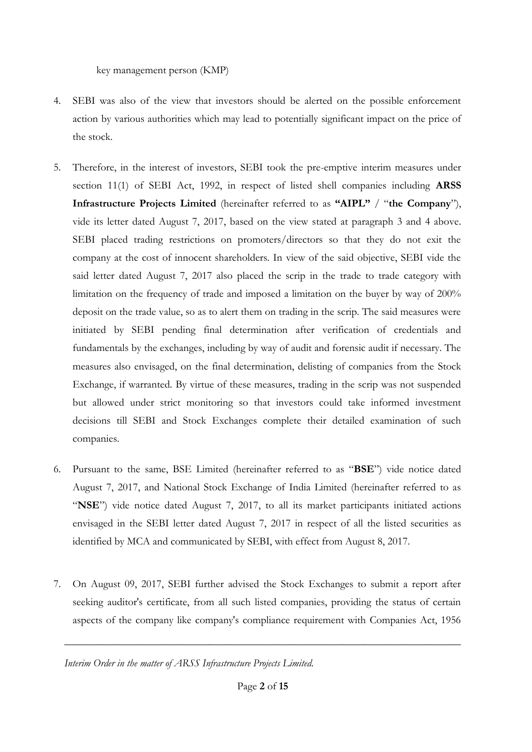key management person (KMP)

- 4. SEBI was also of the view that investors should be alerted on the possible enforcement action by various authorities which may lead to potentially significant impact on the price of the stock.
- 5. Therefore, in the interest of investors, SEBI took the pre-emptive interim measures under section 11(1) of SEBI Act, 1992, in respect of listed shell companies including **ARSS Infrastructure Projects Limited** (hereinafter referred to as **"AIPL"** / "**the Company**"), vide its letter dated August 7, 2017, based on the view stated at paragraph 3 and 4 above. SEBI placed trading restrictions on promoters/directors so that they do not exit the company at the cost of innocent shareholders. In view of the said objective, SEBI vide the said letter dated August 7, 2017 also placed the scrip in the trade to trade category with limitation on the frequency of trade and imposed a limitation on the buyer by way of 200% deposit on the trade value, so as to alert them on trading in the scrip. The said measures were initiated by SEBI pending final determination after verification of credentials and fundamentals by the exchanges, including by way of audit and forensic audit if necessary. The measures also envisaged, on the final determination, delisting of companies from the Stock Exchange, if warranted. By virtue of these measures, trading in the scrip was not suspended but allowed under strict monitoring so that investors could take informed investment decisions till SEBI and Stock Exchanges complete their detailed examination of such companies.
- 6. Pursuant to the same, BSE Limited (hereinafter referred to as "**BSE**") vide notice dated August 7, 2017, and National Stock Exchange of India Limited (hereinafter referred to as "**NSE**") vide notice dated August 7, 2017, to all its market participants initiated actions envisaged in the SEBI letter dated August 7, 2017 in respect of all the listed securities as identified by MCA and communicated by SEBI, with effect from August 8, 2017.
- 7. On August 09, 2017, SEBI further advised the Stock Exchanges to submit a report after seeking auditor's certificate, from all such listed companies, providing the status of certain aspects of the company like company's compliance requirement with Companies Act, 1956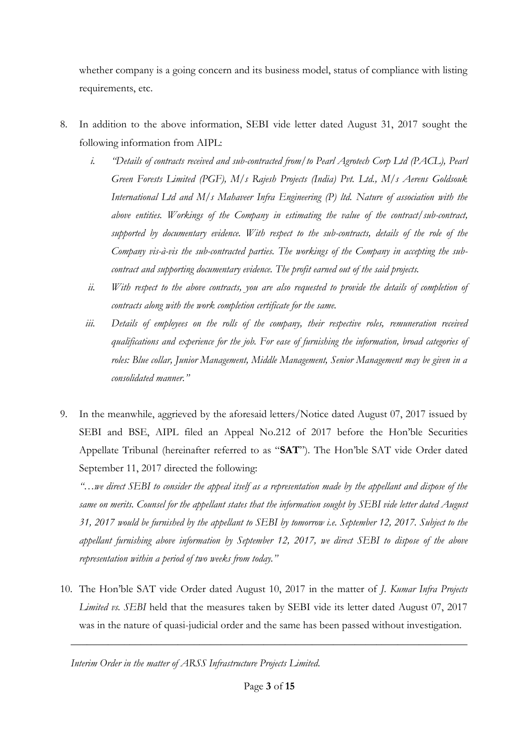whether company is a going concern and its business model, status of compliance with listing requirements, etc.

- 8. In addition to the above information, SEBI vide letter dated August 31, 2017 sought the following information from AIPL:
	- *i. "Details of contracts received and sub-contracted from/to Pearl Agrotech Corp Ltd (PACL), Pearl Green Forests Limited (PGF), M/s Rajesh Projects (India) Pvt. Ltd., M/s Aerens Goldsouk International Ltd and M/s Mahaveer Infra Engineering (P) ltd. Nature of association with the above entities. Workings of the Company in estimating the value of the contract/sub-contract, supported by documentary evidence. With respect to the sub-contracts, details of the role of the Company vis-à-vis the sub-contracted parties. The workings of the Company in accepting the subcontract and supporting documentary evidence. The profit earned out of the said projects.*
	- *ii. With respect to the above contracts, you are also requested to provide the details of completion of contracts along with the work completion certificate for the same.*
	- *iii. Details of employees on the rolls of the company, their respective roles, remuneration received qualifications and experience for the job. For ease of furnishing the information, broad categories of roles: Blue collar, Junior Management, Middle Management, Senior Management may be given in a consolidated manner."*
- 9. In the meanwhile, aggrieved by the aforesaid letters/Notice dated August 07, 2017 issued by SEBI and BSE, AIPL filed an Appeal No.212 of 2017 before the Hon'ble Securities Appellate Tribunal (hereinafter referred to as "**SAT**"). The Hon'ble SAT vide Order dated September 11, 2017 directed the following:

*"…we direct SEBI to consider the appeal itself as a representation made by the appellant and dispose of the same on merits. Counsel for the appellant states that the information sought by SEBI vide letter dated August 31, 2017 would be furnished by the appellant to SEBI by tomorrow i.e. September 12, 2017. Subject to the appellant furnishing above information by September 12, 2017, we direct SEBI to dispose of the above representation within a period of two weeks from today."*

10. The Hon'ble SAT vide Order dated August 10, 2017 in the matter of *J. Kumar Infra Projects Limited vs. SEBI* held that the measures taken by SEBI vide its letter dated August 07, 2017 was in the nature of quasi-judicial order and the same has been passed without investigation.

*Interim Order in the matter of ARSS Infrastructure Projects Limited.*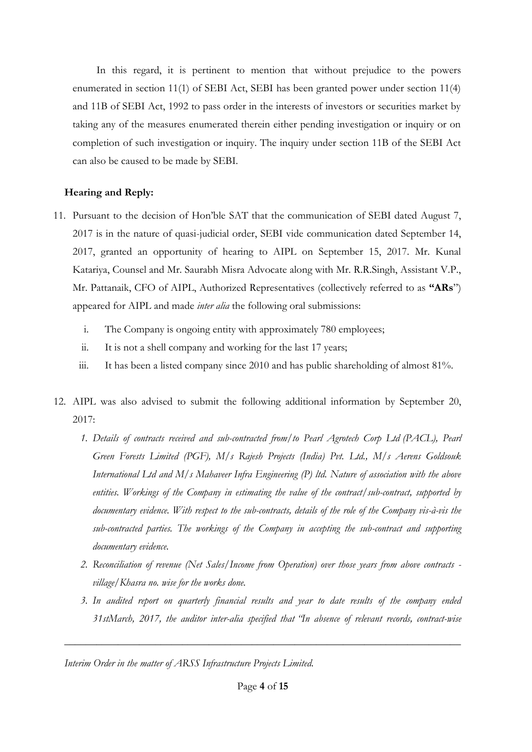In this regard, it is pertinent to mention that without prejudice to the powers enumerated in section 11(1) of SEBI Act, SEBI has been granted power under section 11(4) and 11B of SEBI Act, 1992 to pass order in the interests of investors or securities market by taking any of the measures enumerated therein either pending investigation or inquiry or on completion of such investigation or inquiry. The inquiry under section 11B of the SEBI Act can also be caused to be made by SEBI.

## **Hearing and Reply:**

- 11. Pursuant to the decision of Hon'ble SAT that the communication of SEBI dated August 7, 2017 is in the nature of quasi-judicial order, SEBI vide communication dated September 14, 2017, granted an opportunity of hearing to AIPL on September 15, 2017. Mr. Kunal Katariya, Counsel and Mr. Saurabh Misra Advocate along with Mr. R.R.Singh, Assistant V.P., Mr. Pattanaik, CFO of AIPL, Authorized Representatives (collectively referred to as **"ARs**") appeared for AIPL and made *inter alia* the following oral submissions:
	- i. The Company is ongoing entity with approximately 780 employees;
	- ii. It is not a shell company and working for the last 17 years;
	- iii. It has been a listed company since 2010 and has public shareholding of almost 81%.
- 12. AIPL was also advised to submit the following additional information by September 20, 2017:
	- *1. Details of contracts received and sub-contracted from/to Pearl Agrotech Corp Ltd (PACL), Pearl Green Forests Limited (PGF), M/s Rajesh Projects (India) Pvt. Ltd., M/s Aerens Goldsouk International Ltd and M/s Mahaveer Infra Engineering (P) ltd. Nature of association with the above entities. Workings of the Company in estimating the value of the contract/sub-contract, supported by documentary evidence. With respect to the sub-contracts, details of the role of the Company vis-à-vis the sub-contracted parties. The workings of the Company in accepting the sub-contract and supporting documentary evidence.*
	- *2. Reconciliation of revenue (Net Sales/Income from Operation) over those years from above contracts village/Khasra no. wise for the works done.*
	- *3. In audited report on quarterly financial results and year to date results of the company ended 31stMarch, 2017, the auditor inter-alia specified that "In absence of relevant records, contract-wise*

*Interim Order in the matter of ARSS Infrastructure Projects Limited.*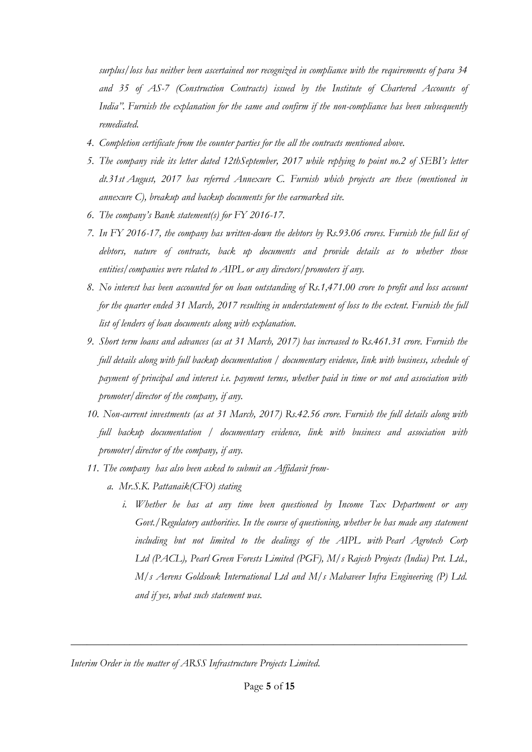*surplus/loss has neither been ascertained nor recognized in compliance with the requirements of para 34 and 35 of AS-7 (Construction Contracts) issued by the Institute of Chartered Accounts of India". Furnish the explanation for the same and confirm if the non-compliance has been subsequently remediated.*

- *4. Completion certificate from the counter parties for the all the contracts mentioned above.*
- *5. The company vide its letter dated 12thSeptember, 2017 while replying to point no.2 of SEBI's letter dt.31st August, 2017 has referred Annexure C. Furnish which projects are these (mentioned in annexure C), breakup and backup documents for the earmarked site.*
- *6. The company's Bank statement(s) for FY 2016-17.*
- *7. In FY 2016-17, the company has written-down the debtors by Rs.93.06 crores. Furnish the full list of debtors, nature of contracts, back up documents and provide details as to whether those entities/companies were related to AIPL or any directors/promoters if any.*
- *8. No interest has been accounted for on loan outstanding of Rs.1,471.00 crore to profit and loss account for the quarter ended 31 March, 2017 resulting in understatement of loss to the extent. Furnish the full list of lenders of loan documents along with explanation.*
- *9. Short term loans and advances (as at 31 March, 2017) has increased to Rs.461.31 crore. Furnish the full details along with full backup documentation / documentary evidence, link with business, schedule of payment of principal and interest i.e. payment terms, whether paid in time or not and association with promoter/director of the company, if any.*
- *10. Non-current investments (as at 31 March, 2017) Rs.42.56 crore. Furnish the full details along with full backup documentation / documentary evidence, link with business and association with promoter/director of the company, if any.*
- *11. The company has also been asked to submit an Affidavit from*
	- *a. Mr.S.K. Pattanaik(CFO) stating*
		- *i. Whether he has at any time been questioned by Income Tax Department or any Govt./Regulatory authorities. In the course of questioning, whether he has made any statement including but not limited to the dealings of the AIPL with Pearl Agrotech Corp Ltd (PACL), Pearl Green Forests Limited (PGF), M/s Rajesh Projects (India) Pvt. Ltd., M/s Aerens Goldsouk International Ltd and M/s Mahaveer Infra Engineering (P) Ltd. and if yes, what such statement was.*

*Interim Order in the matter of ARSS Infrastructure Projects Limited.*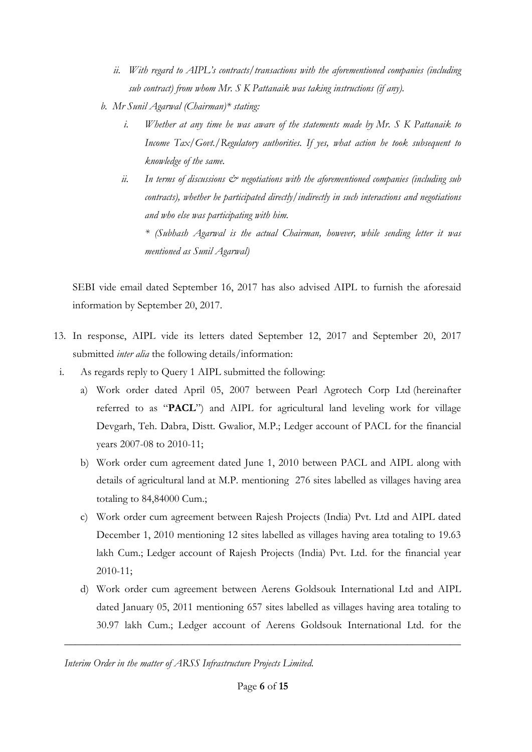- *ii. With regard to AIPL's contracts/transactions with the aforementioned companies (including sub contract) from whom Mr. S K Pattanaik was taking instructions (if any).*
- *b. Mr Sunil Agarwal (Chairman)\* stating:*
	- *i. Whether at any time he was aware of the statements made by Mr. S K Pattanaik to Income Tax/Govt./Regulatory authorities. If yes, what action he took subsequent to knowledge of the same.*
	- *ii. In terms of discussions & negotiations with the aforementioned companies (including sub contracts), whether he participated directly/indirectly in such interactions and negotiations and who else was participating with him.*

*\* (Subhash Agarwal is the actual Chairman, however, while sending letter it was mentioned as Sunil Agarwal)*

SEBI vide email dated September 16, 2017 has also advised AIPL to furnish the aforesaid information by September 20, 2017.

- 13. In response, AIPL vide its letters dated September 12, 2017 and September 20, 2017 submitted *inter alia* the following details/information:
- i. As regards reply to Query 1 AIPL submitted the following:
	- a) Work order dated April 05, 2007 between Pearl Agrotech Corp Ltd (hereinafter referred to as "**PACL**") and AIPL for agricultural land leveling work for village Devgarh, Teh. Dabra, Distt. Gwalior, M.P.; Ledger account of PACL for the financial years 2007-08 to 2010-11;
	- b) Work order cum agreement dated June 1, 2010 between PACL and AIPL along with details of agricultural land at M.P. mentioning 276 sites labelled as villages having area totaling to 84,84000 Cum.;
	- c) Work order cum agreement between Rajesh Projects (India) Pvt. Ltd and AIPL dated December 1, 2010 mentioning 12 sites labelled as villages having area totaling to 19.63 lakh Cum.; Ledger account of Rajesh Projects (India) Pvt. Ltd. for the financial year 2010-11;
	- d) Work order cum agreement between Aerens Goldsouk International Ltd and AIPL dated January 05, 2011 mentioning 657 sites labelled as villages having area totaling to 30.97 lakh Cum.; Ledger account of Aerens Goldsouk International Ltd. for the

*Interim Order in the matter of ARSS Infrastructure Projects Limited.*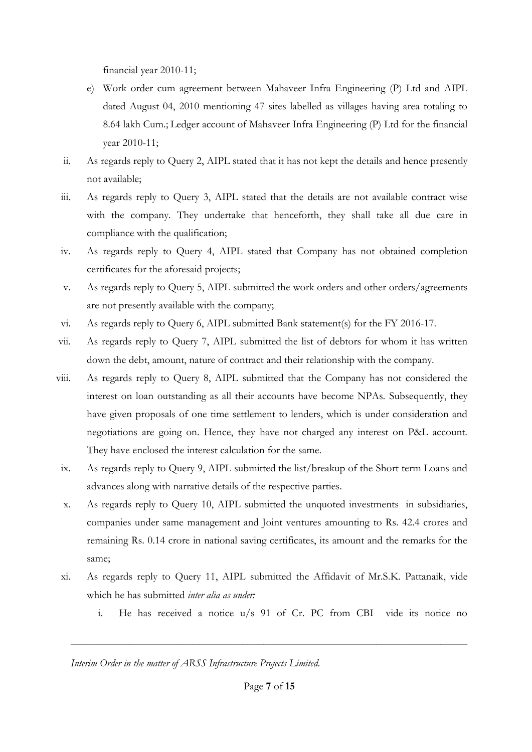financial year 2010-11;

- e) Work order cum agreement between Mahaveer Infra Engineering (P) Ltd and AIPL dated August 04, 2010 mentioning 47 sites labelled as villages having area totaling to 8.64 lakh Cum.; Ledger account of Mahaveer Infra Engineering (P) Ltd for the financial year 2010-11;
- ii. As regards reply to Query 2, AIPL stated that it has not kept the details and hence presently not available;
- iii. As regards reply to Query 3, AIPL stated that the details are not available contract wise with the company. They undertake that henceforth, they shall take all due care in compliance with the qualification;
- iv. As regards reply to Query 4, AIPL stated that Company has not obtained completion certificates for the aforesaid projects;
- v. As regards reply to Query 5, AIPL submitted the work orders and other orders/agreements are not presently available with the company;
- vi. As regards reply to Query 6, AIPL submitted Bank statement(s) for the FY 2016-17.
- vii. As regards reply to Query 7, AIPL submitted the list of debtors for whom it has written down the debt, amount, nature of contract and their relationship with the company.
- viii. As regards reply to Query 8, AIPL submitted that the Company has not considered the interest on loan outstanding as all their accounts have become NPAs. Subsequently, they have given proposals of one time settlement to lenders, which is under consideration and negotiations are going on. Hence, they have not charged any interest on P&L account. They have enclosed the interest calculation for the same.
- ix. As regards reply to Query 9, AIPL submitted the list/breakup of the Short term Loans and advances along with narrative details of the respective parties.
- x. As regards reply to Query 10, AIPL submitted the unquoted investments in subsidiaries, companies under same management and Joint ventures amounting to Rs. 42.4 crores and remaining Rs. 0.14 crore in national saving certificates, its amount and the remarks for the same;
- xi. As regards reply to Query 11, AIPL submitted the Affidavit of Mr.S.K. Pattanaik, vide which he has submitted *inter alia as under:*
	- i. He has received a notice u/s 91 of Cr. PC from CBI vide its notice no

*Interim Order in the matter of ARSS Infrastructure Projects Limited.*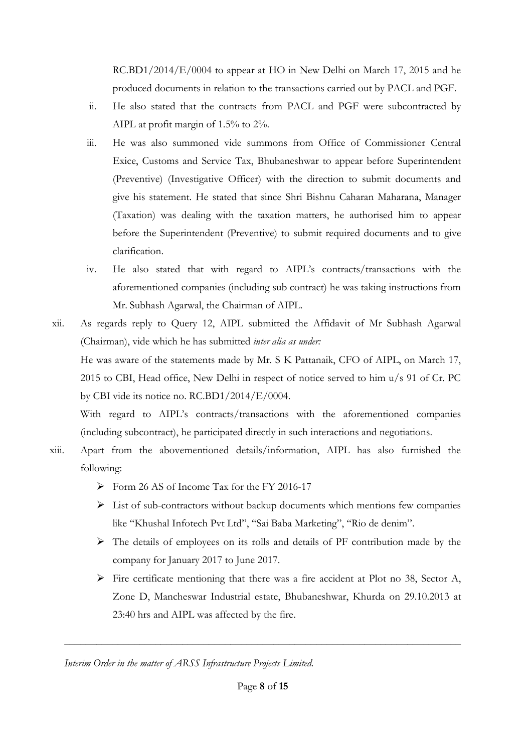RC.BD1/2014/E/0004 to appear at HO in New Delhi on March 17, 2015 and he produced documents in relation to the transactions carried out by PACL and PGF.

- ii. He also stated that the contracts from PACL and PGF were subcontracted by AIPL at profit margin of 1.5% to 2%.
- iii. He was also summoned vide summons from Office of Commissioner Central Exice, Customs and Service Tax, Bhubaneshwar to appear before Superintendent (Preventive) (Investigative Officer) with the direction to submit documents and give his statement. He stated that since Shri Bishnu Caharan Maharana, Manager (Taxation) was dealing with the taxation matters, he authorised him to appear before the Superintendent (Preventive) to submit required documents and to give clarification.
- iv. He also stated that with regard to AIPL's contracts/transactions with the aforementioned companies (including sub contract) he was taking instructions from Mr. Subhash Agarwal, the Chairman of AIPL.
- xii. As regards reply to Query 12, AIPL submitted the Affidavit of Mr Subhash Agarwal (Chairman), vide which he has submitted *inter alia as under:* He was aware of the statements made by Mr. S K Pattanaik, CFO of AIPL, on March 17, 2015 to CBI, Head office, New Delhi in respect of notice served to him u/s 91 of Cr. PC by CBI vide its notice no. RC.BD1/2014/E/0004.

With regard to AIPL's contracts/transactions with the aforementioned companies (including subcontract), he participated directly in such interactions and negotiations.

- xiii. Apart from the abovementioned details/information, AIPL has also furnished the following:
	- $\triangleright$  Form 26 AS of Income Tax for the FY 2016-17
	- $\triangleright$  List of sub-contractors without backup documents which mentions few companies like "Khushal Infotech Pvt Ltd", "Sai Baba Marketing", "Rio de denim".
	- The details of employees on its rolls and details of PF contribution made by the company for January 2017 to June 2017.
	- $\triangleright$  Fire certificate mentioning that there was a fire accident at Plot no 38, Sector A, Zone D, Mancheswar Industrial estate, Bhubaneshwar, Khurda on 29.10.2013 at 23:40 hrs and AIPL was affected by the fire.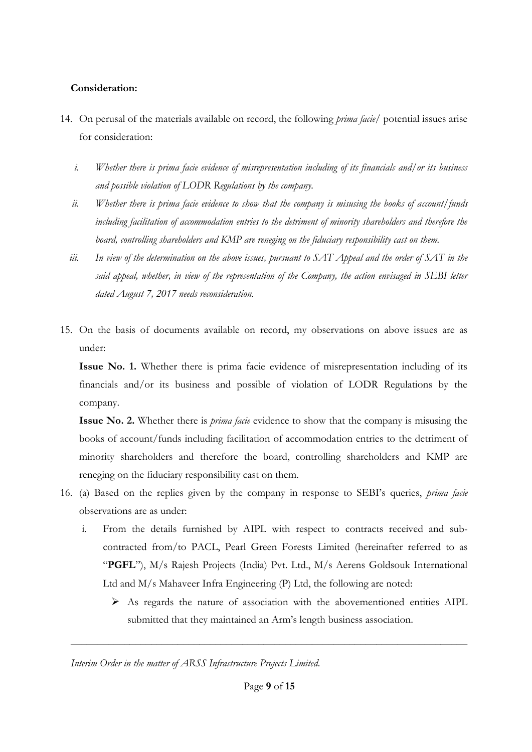## **Consideration:**

- 14. On perusal of the materials available on record, the following *prima facie/* potential issues arise for consideration:
	- *i. Whether there is prima facie evidence of misrepresentation including of its financials and/or its business and possible violation of LODR Regulations by the company.*
	- *ii. Whether there is prima facie evidence to show that the company is misusing the books of account/funds including facilitation of accommodation entries to the detriment of minority shareholders and therefore the board, controlling shareholders and KMP are reneging on the fiduciary responsibility cast on them.*
	- *iii. In view of the determination on the above issues, pursuant to SAT Appeal and the order of SAT in the said appeal, whether, in view of the representation of the Company, the action envisaged in SEBI letter dated August 7, 2017 needs reconsideration.*
- 15. On the basis of documents available on record, my observations on above issues are as under:

**Issue No. 1.** Whether there is prima facie evidence of misrepresentation including of its financials and/or its business and possible of violation of LODR Regulations by the company.

**Issue No. 2.** Whether there is *prima facie* evidence to show that the company is misusing the books of account/funds including facilitation of accommodation entries to the detriment of minority shareholders and therefore the board, controlling shareholders and KMP are reneging on the fiduciary responsibility cast on them.

- 16. (a) Based on the replies given by the company in response to SEBI's queries, *prima facie* observations are as under:
	- i. From the details furnished by AIPL with respect to contracts received and subcontracted from/to PACL, Pearl Green Forests Limited (hereinafter referred to as "PGFL"), M/s Rajesh Projects (India) Pvt. Ltd., M/s Aerens Goldsouk International Ltd and M/s Mahaveer Infra Engineering (P) Ltd, the following are noted:
		- As regards the nature of association with the abovementioned entities AIPL submitted that they maintained an Arm's length business association.

*Interim Order in the matter of ARSS Infrastructure Projects Limited.*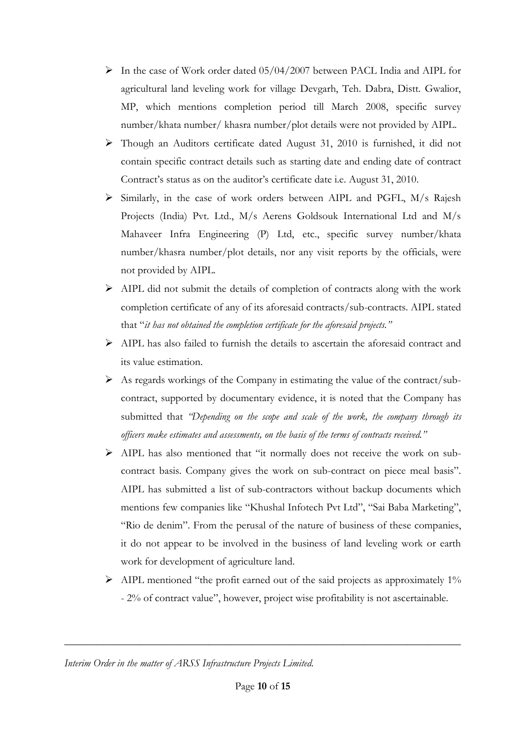- In the case of Work order dated 05/04/2007 between PACL India and AIPL for agricultural land leveling work for village Devgarh, Teh. Dabra, Distt. Gwalior, MP, which mentions completion period till March 2008, specific survey number/khata number/ khasra number/plot details were not provided by AIPL.
- Though an Auditors certificate dated August 31, 2010 is furnished, it did not contain specific contract details such as starting date and ending date of contract Contract's status as on the auditor's certificate date i.e. August 31, 2010.
- Similarly, in the case of work orders between AIPL and PGFL, M/s Rajesh Projects (India) Pvt. Ltd., M/s Aerens Goldsouk International Ltd and M/s Mahaveer Infra Engineering (P) Ltd, etc., specific survey number/khata number/khasra number/plot details, nor any visit reports by the officials, were not provided by AIPL.
- AIPL did not submit the details of completion of contracts along with the work completion certificate of any of its aforesaid contracts/sub-contracts. AIPL stated that "*it has not obtained the completion certificate for the aforesaid projects."*
- $\triangleright$  AIPL has also failed to furnish the details to ascertain the aforesaid contract and its value estimation.
- $\triangleright$  As regards workings of the Company in estimating the value of the contract/subcontract, supported by documentary evidence, it is noted that the Company has submitted that *"Depending on the scope and scale of the work, the company through its officers make estimates and assessments, on the basis of the terms of contracts received."*
- $\triangleright$  AIPL has also mentioned that "it normally does not receive the work on subcontract basis. Company gives the work on sub-contract on piece meal basis". AIPL has submitted a list of sub-contractors without backup documents which mentions few companies like "Khushal Infotech Pvt Ltd", "Sai Baba Marketing", "Rio de denim". From the perusal of the nature of business of these companies, it do not appear to be involved in the business of land leveling work or earth work for development of agriculture land.
- AIPL mentioned "the profit earned out of the said projects as approximately 1% - 2% of contract value", however, project wise profitability is not ascertainable.

*Interim Order in the matter of ARSS Infrastructure Projects Limited.*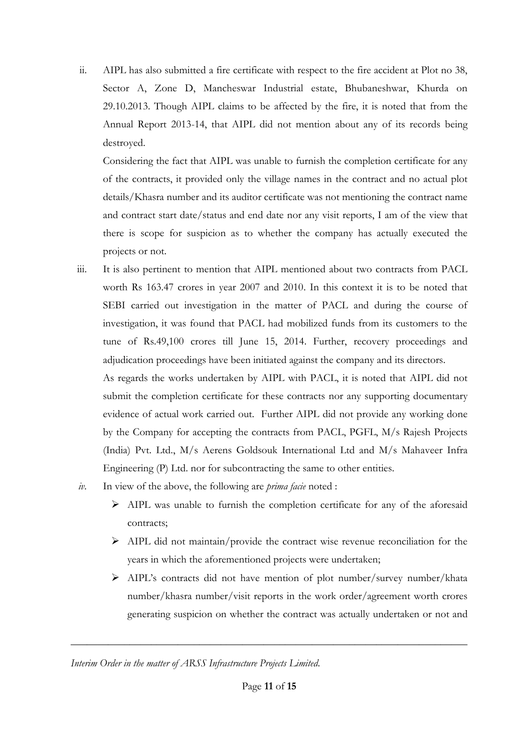ii. AIPL has also submitted a fire certificate with respect to the fire accident at Plot no 38, Sector A, Zone D, Mancheswar Industrial estate, Bhubaneshwar, Khurda on 29.10.2013. Though AIPL claims to be affected by the fire, it is noted that from the Annual Report 2013-14, that AIPL did not mention about any of its records being destroyed.

Considering the fact that AIPL was unable to furnish the completion certificate for any of the contracts, it provided only the village names in the contract and no actual plot details/Khasra number and its auditor certificate was not mentioning the contract name and contract start date/status and end date nor any visit reports, I am of the view that there is scope for suspicion as to whether the company has actually executed the projects or not.

iii. It is also pertinent to mention that AIPL mentioned about two contracts from PACL worth Rs 163.47 crores in year 2007 and 2010. In this context it is to be noted that SEBI carried out investigation in the matter of PACL and during the course of investigation, it was found that PACL had mobilized funds from its customers to the tune of Rs.49,100 crores till June 15, 2014. Further, recovery proceedings and adjudication proceedings have been initiated against the company and its directors.

As regards the works undertaken by AIPL with PACL, it is noted that AIPL did not submit the completion certificate for these contracts nor any supporting documentary evidence of actual work carried out. Further AIPL did not provide any working done by the Company for accepting the contracts from PACL, PGFL, M/s Rajesh Projects (India) Pvt. Ltd., M/s Aerens Goldsouk International Ltd and M/s Mahaveer Infra Engineering (P) Ltd. nor for subcontracting the same to other entities.

- *iv.* In view of the above, the following are *prima facie* noted :
	- AIPL was unable to furnish the completion certificate for any of the aforesaid contracts;
	- AIPL did not maintain/provide the contract wise revenue reconciliation for the years in which the aforementioned projects were undertaken;
	- AIPL's contracts did not have mention of plot number/survey number/khata number/khasra number/visit reports in the work order/agreement worth crores generating suspicion on whether the contract was actually undertaken or not and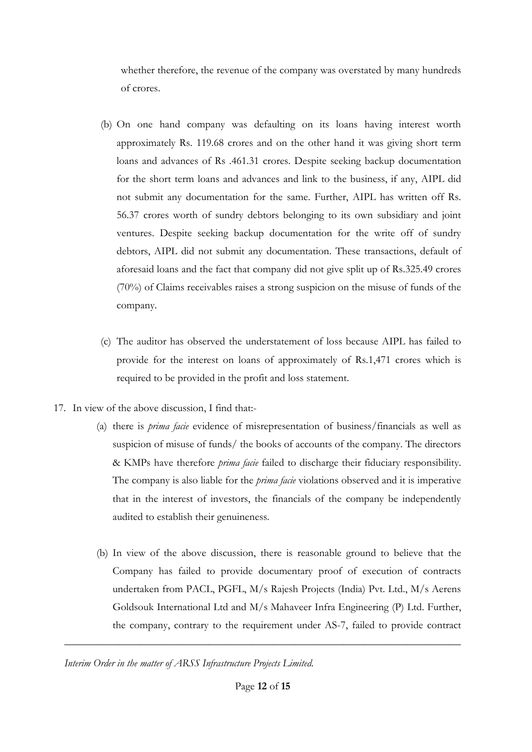whether therefore, the revenue of the company was overstated by many hundreds of crores.

- (b) On one hand company was defaulting on its loans having interest worth approximately Rs. 119.68 crores and on the other hand it was giving short term loans and advances of Rs .461.31 crores. Despite seeking backup documentation for the short term loans and advances and link to the business, if any, AIPL did not submit any documentation for the same. Further, AIPL has written off Rs. 56.37 crores worth of sundry debtors belonging to its own subsidiary and joint ventures. Despite seeking backup documentation for the write off of sundry debtors, AIPL did not submit any documentation. These transactions, default of aforesaid loans and the fact that company did not give split up of Rs.325.49 crores (70%) of Claims receivables raises a strong suspicion on the misuse of funds of the company.
- (c) The auditor has observed the understatement of loss because AIPL has failed to provide for the interest on loans of approximately of Rs.1,471 crores which is required to be provided in the profit and loss statement.
- 17. In view of the above discussion, I find that:-
	- (a) there is *prima facie* evidence of misrepresentation of business/financials as well as suspicion of misuse of funds/ the books of accounts of the company. The directors & KMPs have therefore *prima facie* failed to discharge their fiduciary responsibility. The company is also liable for the *prima facie* violations observed and it is imperative that in the interest of investors, the financials of the company be independently audited to establish their genuineness.
	- (b) In view of the above discussion, there is reasonable ground to believe that the Company has failed to provide documentary proof of execution of contracts undertaken from PACL, PGFL, M/s Rajesh Projects (India) Pvt. Ltd., M/s Aerens Goldsouk International Ltd and M/s Mahaveer Infra Engineering (P) Ltd. Further, the company, contrary to the requirement under AS-7, failed to provide contract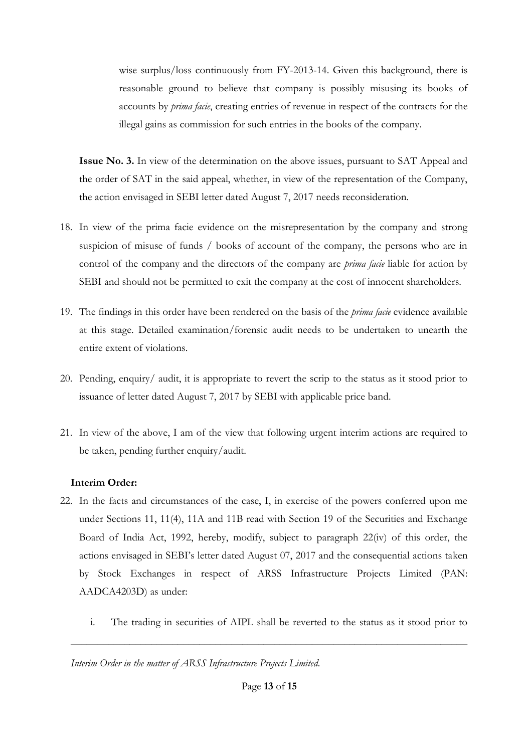wise surplus/loss continuously from FY-2013-14. Given this background, there is reasonable ground to believe that company is possibly misusing its books of accounts by *prima facie*, creating entries of revenue in respect of the contracts for the illegal gains as commission for such entries in the books of the company.

**Issue No. 3.** In view of the determination on the above issues, pursuant to SAT Appeal and the order of SAT in the said appeal, whether, in view of the representation of the Company, the action envisaged in SEBI letter dated August 7, 2017 needs reconsideration.

- 18. In view of the prima facie evidence on the misrepresentation by the company and strong suspicion of misuse of funds / books of account of the company, the persons who are in control of the company and the directors of the company are *prima facie* liable for action by SEBI and should not be permitted to exit the company at the cost of innocent shareholders.
- 19. The findings in this order have been rendered on the basis of the *prima facie* evidence available at this stage. Detailed examination/forensic audit needs to be undertaken to unearth the entire extent of violations.
- 20. Pending, enquiry/ audit, it is appropriate to revert the scrip to the status as it stood prior to issuance of letter dated August 7, 2017 by SEBI with applicable price band.
- 21. In view of the above, I am of the view that following urgent interim actions are required to be taken, pending further enquiry/audit.

## **Interim Order:**

- 22. In the facts and circumstances of the case, I, in exercise of the powers conferred upon me under Sections 11, 11(4), 11A and 11B read with Section 19 of the Securities and Exchange Board of India Act, 1992, hereby, modify, subject to paragraph 22(iv) of this order, the actions envisaged in SEBI's letter dated August 07, 2017 and the consequential actions taken by Stock Exchanges in respect of ARSS Infrastructure Projects Limited (PAN: AADCA4203D) as under:
	- i. The trading in securities of AIPL shall be reverted to the status as it stood prior to

*Interim Order in the matter of ARSS Infrastructure Projects Limited.*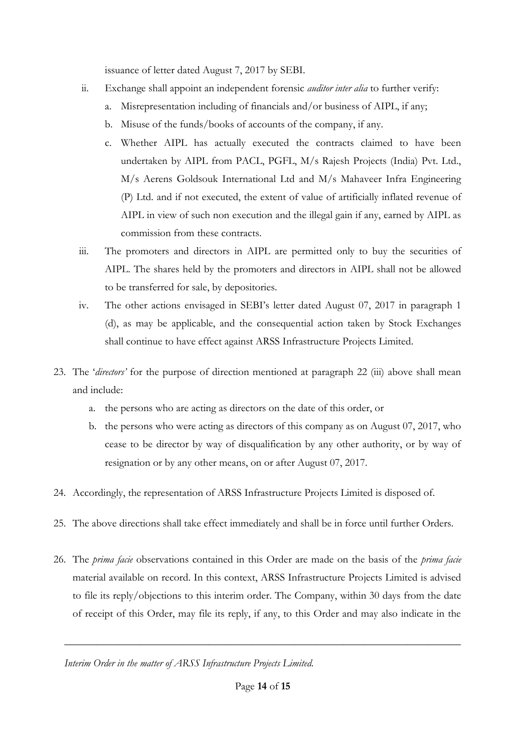issuance of letter dated August 7, 2017 by SEBI.

- ii. Exchange shall appoint an independent forensic *auditor inter alia* to further verify:
	- a. Misrepresentation including of financials and/or business of AIPL, if any;
	- b. Misuse of the funds/books of accounts of the company, if any.
	- c. Whether AIPL has actually executed the contracts claimed to have been undertaken by AIPL from PACL, PGFL, M/s Rajesh Projects (India) Pvt. Ltd., M/s Aerens Goldsouk International Ltd and M/s Mahaveer Infra Engineering (P) Ltd. and if not executed, the extent of value of artificially inflated revenue of AIPL in view of such non execution and the illegal gain if any, earned by AIPL as commission from these contracts.
- iii. The promoters and directors in AIPL are permitted only to buy the securities of AIPL. The shares held by the promoters and directors in AIPL shall not be allowed to be transferred for sale, by depositories.
- iv. The other actions envisaged in SEBI's letter dated August 07, 2017 in paragraph 1 (d), as may be applicable, and the consequential action taken by Stock Exchanges shall continue to have effect against ARSS Infrastructure Projects Limited.
- 23. The '*directors'* for the purpose of direction mentioned at paragraph 22 (iii) above shall mean and include:
	- a. the persons who are acting as directors on the date of this order, or
	- b. the persons who were acting as directors of this company as on August 07, 2017, who cease to be director by way of disqualification by any other authority, or by way of resignation or by any other means, on or after August 07, 2017.
- 24. Accordingly, the representation of ARSS Infrastructure Projects Limited is disposed of.
- 25. The above directions shall take effect immediately and shall be in force until further Orders.
- 26. The *prima facie* observations contained in this Order are made on the basis of the *prima facie* material available on record. In this context, ARSS Infrastructure Projects Limited is advised to file its reply/objections to this interim order. The Company, within 30 days from the date of receipt of this Order, may file its reply, if any, to this Order and may also indicate in the